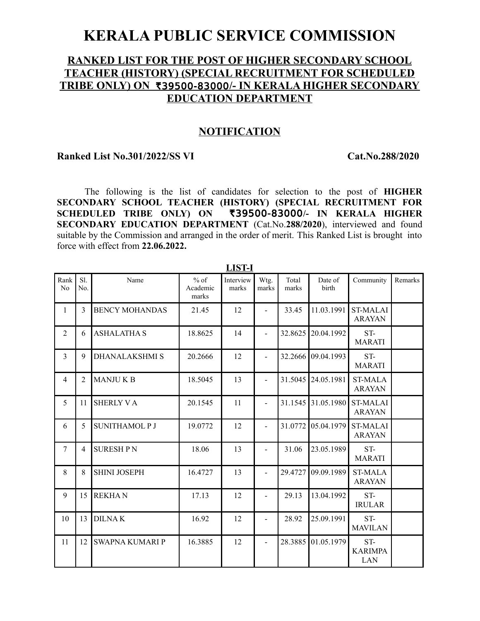## **KERALA PUBLIC SERVICE COMMISSION**

## **RANKED LIST FOR THE POST OF HIGHER SECONDARY SCHOOL TEACHER (HISTORY) (SPECIAL RECRUITMENT FOR SCHEDULED TRIBE ONLY) ON ₹39500-83000/- IN KERALA HIGHER SECONDARY EDUCATION DEPARTMENT**

## **NOTIFICATION**

## **Ranked List No.301/2022/SS VI Cat.No.288/2020**

The following is the list of candidates for selection to the post of **HIGHER SECONDARY SCHOOL TEACHER (HISTORY) (SPECIAL RECRUITMENT FOR** SCHEDULED TRIBE ONLY) ON ₹39500-83000/- IN KERALA HIGHER **SECONDARY EDUCATION DEPARTMENT** (Cat.No.**288/2020**), interviewed and found suitable by the Commission and arranged in the order of merit. This Ranked List is brought into force with effect from **22.06.2022.**

|                |            |                        |                             | LID 1-1            |                          |                |                    |                                  |         |
|----------------|------------|------------------------|-----------------------------|--------------------|--------------------------|----------------|--------------------|----------------------------------|---------|
| Rank<br>No     | S1.<br>No. | Name                   | $%$ of<br>Academic<br>marks | Interview<br>marks | Wtg.<br>marks            | Total<br>marks | Date of<br>birth   | Community                        | Remarks |
| $\mathbf{1}$   | 3          | <b>BENCY MOHANDAS</b>  | 21.45                       | 12                 | $\overline{a}$           | 33.45          | 11.03.1991         | <b>ST-MALAI</b><br><b>ARAYAN</b> |         |
| $\overline{2}$ | 6          | <b>ASHALATHA S</b>     | 18.8625                     | 14                 |                          | 32.8625        | 20.04.1992         | ST-<br><b>MARATI</b>             |         |
| 3              | 9          | <b>DHANALAKSHMI S</b>  | 20.2666                     | 12                 |                          | 32.2666        | 09.04.1993         | ST-<br><b>MARATI</b>             |         |
| 4              | 2          | <b>MANJUKB</b>         | 18.5045                     | 13                 |                          |                | 31.5045 24.05.1981 | <b>ST-MALA</b><br><b>ARAYAN</b>  |         |
| 5              | 11         | <b>SHERLY VA</b>       | 20.1545                     | 11                 |                          |                | 31.1545 31.05.1980 | <b>ST-MALAI</b><br><b>ARAYAN</b> |         |
| 6              | 5          | <b>SUNITHAMOL P J</b>  | 19.0772                     | 12                 | $\overline{a}$           | 31.0772        | 05.04.1979         | <b>ST-MALAI</b><br><b>ARAYAN</b> |         |
| $\overline{7}$ | 4          | <b>SURESHPN</b>        | 18.06                       | 13                 |                          | 31.06          | 23.05.1989         | ST-<br><b>MARATI</b>             |         |
| 8              | 8          | <b>SHINI JOSEPH</b>    | 16.4727                     | 13                 | $\overline{\phantom{a}}$ | 29.4727        | 09.09.1989         | <b>ST-MALA</b><br><b>ARAYAN</b>  |         |
| 9              | 15         | <b>REKHAN</b>          | 17.13                       | 12                 |                          | 29.13          | 13.04.1992         | ST-<br><b>IRULAR</b>             |         |
| 10             | 13         | <b>DILNAK</b>          | 16.92                       | 12                 | $\overline{\phantom{a}}$ | 28.92          | 25.09.1991         | ST-<br><b>MAVILAN</b>            |         |
| 11             | 12         | <b>SWAPNA KUMARI P</b> | 16.3885                     | 12                 | $\overline{a}$           | 28.3885        | 01.05.1979         | ST-<br><b>KARIMPA</b><br>LAN     |         |

**LIST-I**